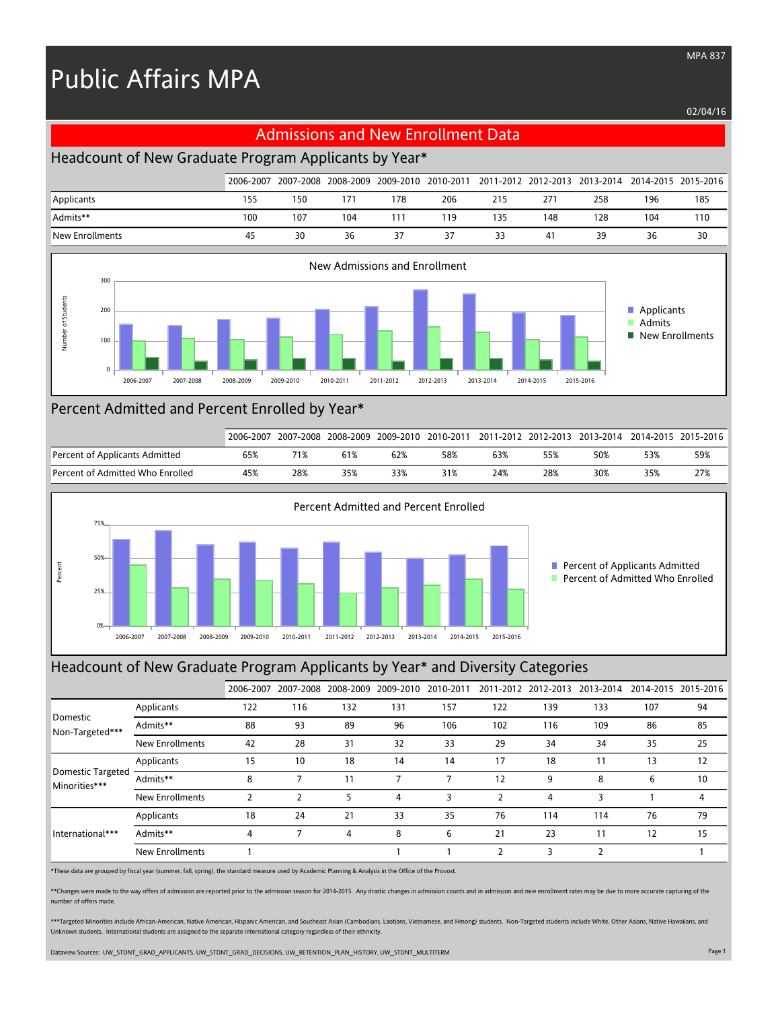# Public Affairs MPA

02/04/16

## Admissions and New Enrollment Data

### Headcount of New Graduate Program Applicants by Year\*

|                 | 2006-2007 |     |     |              |     |     |                |     |     | 2007-2008 2008-2009 2009-2010 2010-2011 2011-2012 2012-2013 2013-2014 2014-2015 2015-2016 |
|-----------------|-----------|-----|-----|--------------|-----|-----|----------------|-----|-----|-------------------------------------------------------------------------------------------|
| Applicants      | 155       | 150 |     | 178          | 206 | 215 |                | 258 | 196 | 185                                                                                       |
| Admits**        | 100       | 107 | 104 | $11^{\circ}$ | 119 | 135 | 48ء            | 128 | 104 | 110                                                                                       |
| New Enrollments | 45        | 30  | 36  | 37           | 37  | 33  | 4 <sup>i</sup> | 39  | 36  | 30                                                                                        |



#### Percent Admitted and Percent Enrolled by Year\*

|                                  | 2006-2007 | 2007-2008 |     | 2008-2009 2009-2010 | 2010-2011 |     |     | 2011-2012 2012-2013 2013-2014 |     | 2014-2015 2015-2016 |
|----------------------------------|-----------|-----------|-----|---------------------|-----------|-----|-----|-------------------------------|-----|---------------------|
| Percent of Applicants Admitted   | 65%       | 71%       |     | 62%                 | 58%       | 63% | 55% | 50%                           | 53% | 59%                 |
| Percent of Admitted Who Enrolled | 45%       | 28%       | 35% | 33%                 | 31%       | 24% | 28% | 30%                           | 35% | 27%                 |



#### Headcount of New Graduate Program Applicants by Year\* and Diversity Categories

|                                           |                        | 2006-2007 |     | 2007-2008 2008-2009 | 2009-2010 | 2010-2011 |     |     | 2011-2012 2012-2013 2013-2014 | 2014-2015 2015-2016 |    |
|-------------------------------------------|------------------------|-----------|-----|---------------------|-----------|-----------|-----|-----|-------------------------------|---------------------|----|
| Domestic<br>Non-Targeted***               | Applicants             | 122       | 116 | 132                 | 131       | 157       | 122 | 139 | 133                           | 107                 | 94 |
|                                           | Admits**               | 88        | 93  | 89                  | 96        | 106       | 102 | 116 | 109                           | 86                  | 85 |
|                                           | <b>New Enrollments</b> | 42        | 28  | 31                  | 32        | 33        | 29  | 34  | 34                            | 35                  | 25 |
|                                           | Applicants             | 15        | 10  | 18                  | 14        | 14        | 17  | 18  | 11                            | 13                  | 12 |
| <b>Domestic Targeted</b><br>Minorities*** | Admits**               | 8         |     |                     |           |           | 12  | 9   | 8                             | 6                   | 10 |
|                                           | <b>New Enrollments</b> |           |     |                     | 4         |           |     | 4   | 3                             |                     | 4  |
| International***                          | Applicants             | 18        | 24  | 21                  | 33        | 35        | 76  | 114 | 114                           | 76                  | 79 |
|                                           | Admits**               | 4         |     | 4                   | 8         | 6         | 21  | 23  | 11                            | 12                  | 15 |
|                                           | New Enrollments        |           |     |                     |           |           | ר   | 3   |                               |                     |    |

\*These data are grouped by fiscal year (summer, fall, spring), the standard measure used by Academic Planning & Analysis in the Office of the Provost.

\*\*Changes were made to the way offers of admission are reported prior to the admission season for 2014-2015. Any drastic changes in admission counts and in admission and new enrollment rates may be due to more accurate cap number of offers made.

\*\*\*Targeted Minorities include African-American, Native American, Hispanic American, and Southeast Asian (Cambodians, Laotians, Vietnamese, and Hmong) students. Non-Targeted students include White, Other Asians, Native Haw Unknown students. International students are assigned to the separate international category regardless of their ethnicity.

Dataview Sources: UW\_STDNT\_GRAD\_APPLICANTS, UW\_STDNT\_GRAD\_DECISIONS, UW\_RETENTION\_PLAN\_HISTORY, UW\_STDNT\_MULTITERM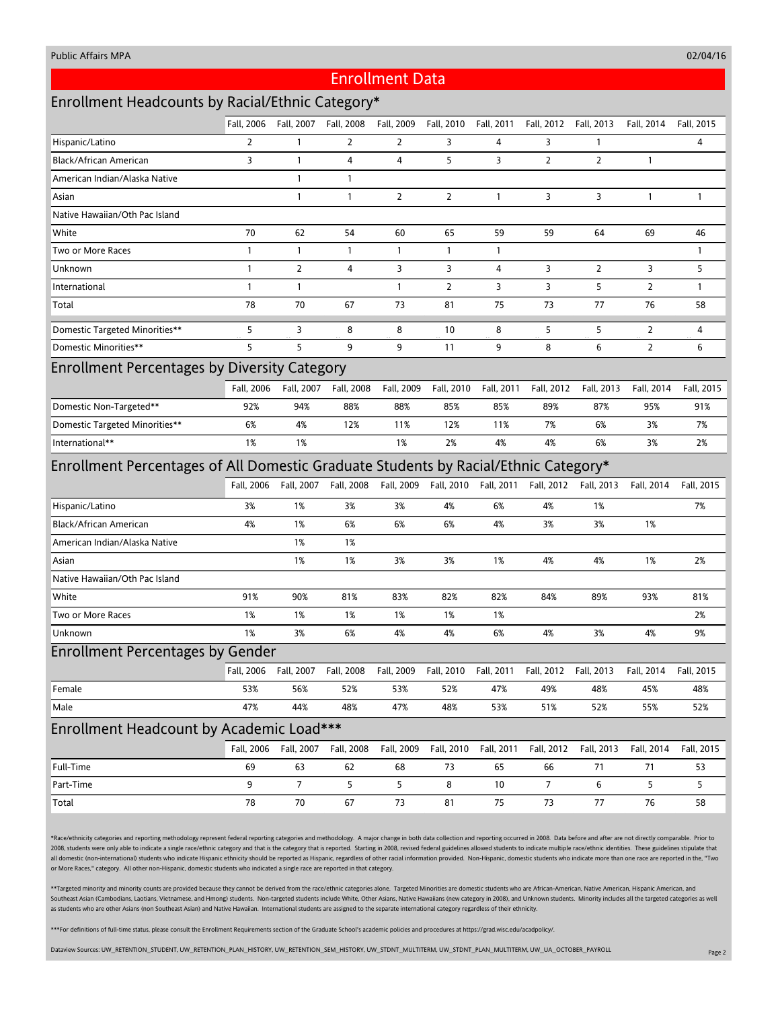#### Public Affairs MPA

#### 02/04/16

#### Enrollment Data

## Enrollment Headcounts by Racial/Ethnic Category\*

|                                                                                     | Fall, 2006     | Fall, 2007            | Fall, 2008     | Fall, 2009     | Fall, 2010     | Fall, 2011   | Fall, 2012                                             | Fall, 2013     | Fall, 2014     | Fall, 2015   |  |  |
|-------------------------------------------------------------------------------------|----------------|-----------------------|----------------|----------------|----------------|--------------|--------------------------------------------------------|----------------|----------------|--------------|--|--|
| Hispanic/Latino                                                                     | $\overline{2}$ | $\mathbf{1}$          | $\overline{2}$ | 2              | 3              | 4            | 3                                                      | $\mathbf{1}$   |                | 4            |  |  |
| Black/African American                                                              | 3              | $\mathbf{1}$          | 4              | 4              | 5              | 3            | $\overline{2}$                                         | $\overline{2}$ | $\mathbf{1}$   |              |  |  |
| American Indian/Alaska Native                                                       |                | $\mathbf{1}$          | $\mathbf{1}$   |                |                |              |                                                        |                |                |              |  |  |
| Asian                                                                               |                | $\mathbf{1}$          | $\mathbf{1}$   | $\overline{2}$ | $\overline{2}$ | $\mathbf{1}$ | 3                                                      | 3              | $\mathbf{1}$   | $\mathbf{1}$ |  |  |
| Native Hawaiian/Oth Pac Island                                                      |                |                       |                |                |                |              |                                                        |                |                |              |  |  |
| White                                                                               | 70             | 62                    | 54             | 60             | 65             | 59           | 59                                                     | 64             | 69             | 46           |  |  |
| Two or More Races                                                                   | $\mathbf{1}$   | $\mathbf{1}$          | $\mathbf{1}$   | 1              | $\mathbf{1}$   | $\mathbf{1}$ |                                                        |                |                | $\mathbf{1}$ |  |  |
| Unknown                                                                             | $\mathbf{1}$   | $\overline{2}$        | 4              | 3              | 3              | 4            | 3                                                      | $\overline{2}$ | 3              | 5            |  |  |
| International                                                                       | $\mathbf{1}$   | $\mathbf{1}$          |                | $\mathbf{1}$   | $\overline{2}$ | 3            | 3                                                      | 5              | $\overline{2}$ | 1            |  |  |
| Total                                                                               | 78             | 70                    | 67             | 73             | 81             | 75           | 73                                                     | 77             | 76             | 58           |  |  |
| <b>Domestic Targeted Minorities**</b>                                               | 5              | 3                     | 8              | 8              | 10             | 8            | 5                                                      | 5              | $\overline{2}$ | 4            |  |  |
| Domestic Minorities**                                                               | 5              | 5                     | 9              | 9              | 11             | 9            | 8                                                      | 6              | $\overline{2}$ | 6            |  |  |
| <b>Enrollment Percentages by Diversity Category</b>                                 |                |                       |                |                |                |              |                                                        |                |                |              |  |  |
|                                                                                     | Fall. 2006     | Fall, 2007            | Fall, 2008     | Fall, 2009     | Fall, 2010     | Fall, 2011   | Fall, 2012                                             | Fall, 2013     | Fall, 2014     | Fall, 2015   |  |  |
| Domestic Non-Targeted**                                                             | 92%            | 94%                   | 88%            | 88%            | 85%            | 85%          | 89%                                                    | 87%            | 95%            | 91%          |  |  |
| Domestic Targeted Minorities**                                                      | 6%             | 4%                    | 12%            | 11%            | 12%            | 11%          | 7%                                                     | 6%             | 3%             | 7%           |  |  |
| International**                                                                     | 1%             | 1%                    |                | 1%             | 2%             | 4%           | 4%                                                     | 6%             | 3%             | 2%           |  |  |
| Enrollment Percentages of All Domestic Graduate Students by Racial/Ethnic Category* |                |                       |                |                |                |              |                                                        |                |                |              |  |  |
|                                                                                     |                | Fall, 2006 Fall, 2007 | Fall, 2008     | Fall, 2009     | Fall, 2010     | Fall, 2011   | Fall, 2012                                             | Fall, 2013     | Fall, 2014     | Fall, 2015   |  |  |
| Hispanic/Latino                                                                     | 3%             | 1%                    | 3%             | 3%             | 4%             | 6%           | 4%                                                     | 1%             |                | 7%           |  |  |
| Black/African American                                                              | 4%             | 1%                    | 6%             | 6%             | 6%             | 4%           | 3%                                                     | 3%             | 1%             |              |  |  |
| American Indian/Alaska Native                                                       |                | 1%                    | 1%             |                |                |              |                                                        |                |                |              |  |  |
| Asian                                                                               |                | 1%                    | 1%             | 3%             | 3%             | 1%           | 4%                                                     | 4%             | 1%             | 2%           |  |  |
| Native Hawaiian/Oth Pac Island                                                      |                |                       |                |                |                |              |                                                        |                |                |              |  |  |
| White                                                                               | 91%            | 90%                   | 81%            | 83%            | 82%            | 82%          | 84%                                                    | 89%            | 93%            | 81%          |  |  |
| Two or More Races                                                                   | 1%             | 1%                    | 1%             | 1%             | 1%             | 1%           |                                                        |                |                | 2%           |  |  |
| Unknown                                                                             | 1%             | 3%                    | 6%             | 4%             | 4%             | 6%           | 4%                                                     | 3%             | 4%             | 9%           |  |  |
| <b>Enrollment Percentages by Gender</b>                                             |                |                       |                |                |                |              |                                                        |                |                |              |  |  |
|                                                                                     |                | Fall, 2006 Fall, 2007 | Fall, 2008     |                |                |              | Fall, 2009 Fall, 2010 Fall, 2011 Fall, 2012 Fall, 2013 |                | Fall, 2014     | Fall, 2015   |  |  |
| Female                                                                              | 53%            | 56%                   | 52%            | 53%            | 52%            | 47%          | 49%                                                    | 48%            | 45%            | 48%          |  |  |
| Male                                                                                | 47%            | 44%                   | 48%            | 47%            | 48%            | 53%          | 51%                                                    | 52%            | 55%            | 52%          |  |  |
| Enrollment Headcount by Academic Load***                                            |                |                       |                |                |                |              |                                                        |                |                |              |  |  |
|                                                                                     | Fall, 2006     | Fall, 2007            | Fall, 2008     | Fall, 2009     | Fall, 2010     | Fall, 2011   | Fall, 2012                                             | Fall, 2013     | Fall, 2014     | Fall, 2015   |  |  |
| Full-Time                                                                           | 69             | 63                    | 62             | 68             | 73             | 65           | 66                                                     | $71$           | $71\,$         | 53           |  |  |
| Part-Time                                                                           | 9              | 7                     | 5              | 5              | 8              | 10           | $\overline{7}$                                         | 6              | 5              | 5            |  |  |
| Total                                                                               | 78             | 70                    | 67             | 73             | 81             | 75           | 73                                                     | 77             | 76             | 58           |  |  |

\*Race/ethnicity categories and reporting methodology represent federal reporting categories and methodology. A major change in both data collection and reporting occurred in 2008. Data before and after are not directly com 2008, students were only able to indicate a single race/ethnic category and that is the category that is reported. Starting in 2008, revised federal guidelines allowed students to indicate multiple race/ethnic identities. all domestic (non-international) students who indicate Hispanic ethnicity should be reported as Hispanic, regardless of other racial information provided. Non-Hispanic, domestic students who indicate more than one race are or More Races," category. All other non-Hispanic, domestic students who indicated a single race are reported in that category.

\*\*Targeted minority and minority counts are provided because they cannot be derived from the race/ethnic categories alone. Targeted Minorities are domestic students who are African-American, Native American, Hispanic Ameri Southeast Asian (Cambodians, Laotians, Vietnamese, and Hmong) students. Non-targeted students include White, Other Asians, Native Hawaiians (new category in 2008), and Unknown students. Minority includes all the targeted c as students who are other Asians (non Southeast Asian) and Native Hawaiian. International students are assigned to the separate international category regardless of their ethnicity.

\*\*\*For definitions of full-time status, please consult the Enrollment Requirements section of the Graduate School's academic policies and procedures at https://grad.wisc.edu/acadpolicy/.

Dataview Sources: UW\_RETENTION\_STUDENT, UW\_RETENTION\_PLAN\_HISTORY, UW\_RETENTION\_SEM\_HISTORY, UW\_STDNT\_MULTITERM, UW\_STDNT\_PLAN\_MULTITERM, UW\_UA\_OCTOBER\_PAYROLL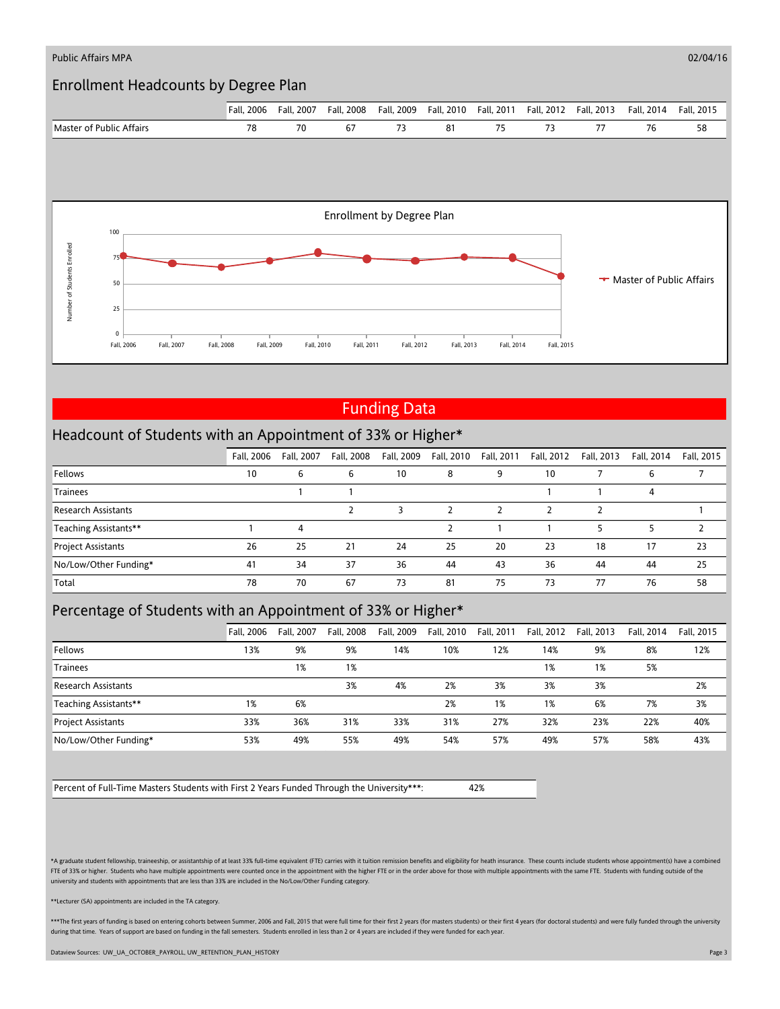

# Funding Data

## Headcount of Students with an Appointment of 33% or Higher\*

|                           | Fall. 2006 | Fall, 2007 | Fall, 2008 | Fall, 2009 | Fall, 2010 | Fall, 2011 | Fall, 2012 | Fall, 2013 | Fall, 2014 | Fall, 2015 |
|---------------------------|------------|------------|------------|------------|------------|------------|------------|------------|------------|------------|
| Fellows                   | 10         | 6          | ь          | 10         | 8          | 9          | 10         |            | ь          |            |
| <b>Trainees</b>           |            |            |            |            |            |            |            |            | 4          |            |
| Research Assistants       |            |            |            |            |            |            |            |            |            |            |
| Teaching Assistants**     |            |            |            |            |            |            |            |            |            |            |
| <b>Project Assistants</b> | 26         | 25         | 21         | 24         | 25         | 20         | 23         | 18         | 17         | 23         |
| No/Low/Other Funding*     | 41         | 34         | 37         | 36         | 44         | 43         | 36         | 44         | 44         | 25         |
| Total                     | 78         | 70         | 67         | 73         | 81         | 75         | 73         | 77         | 76         | 58         |

## Percentage of Students with an Appointment of 33% or Higher\*

|                            | <b>Fall. 2006</b> | Fall, 2007 | Fall, 2008 | Fall, 2009 | Fall, 2010 | Fall, 2011 | Fall, 2012 | Fall, 2013 | Fall. 2014 | Fall, 2015 |
|----------------------------|-------------------|------------|------------|------------|------------|------------|------------|------------|------------|------------|
| Fellows                    | 13%               | 9%         | 9%         | 14%        | 10%        | 12%        | 14%        | 9%         | 8%         | 12%        |
| <b>Trainees</b>            |                   | 1%         | 1%         |            |            |            | 1%         | 1%         | 5%         |            |
| <b>Research Assistants</b> |                   |            | 3%         | 4%         | 2%         | 3%         | 3%         | 3%         |            | 2%         |
| Teaching Assistants**      | 1%                | 6%         |            |            | 2%         | 1%         | 1%         | 6%         | 7%         | 3%         |
| <b>Project Assistants</b>  | 33%               | 36%        | 31%        | 33%        | 31%        | 27%        | 32%        | 23%        | 22%        | 40%        |
| No/Low/Other Funding*      | 53%               | 49%        | 55%        | 49%        | 54%        | 57%        | 49%        | 57%        | 58%        | 43%        |

Percent of Full-Time Masters Students with First 2 Years Funded Through the University\*\*\*: 42%

\*A graduate student fellowship, traineeship, or assistantship of at least 33% full-time equivalent (FTE) carries with it tuition remission benefits and eligibility for heath insurance. These counts include students whose a FTE of 33% or higher. Students who have multiple appointments were counted once in the appointment with the higher FTE or in the order above for those with multiple appointments with the same FTE. Students with funding out university and students with appointments that are less than 33% are included in the No/Low/Other Funding category.

\*\*Lecturer (SA) appointments are included in the TA category.

\*\*\*The first years of funding is based on entering cohorts between Summer, 2006 and Fall, 2015 that were full time for their first 2 years (for masters students) or their first 4 years (for doctoral students) and were full during that time. Years of support are based on funding in the fall semesters. Students enrolled in less than 2 or 4 years are included if they were funded for each year

Dataview Sources: UW\_UA\_OCTOBER\_PAYROLL, UW\_RETENTION\_PLAN\_HISTORY